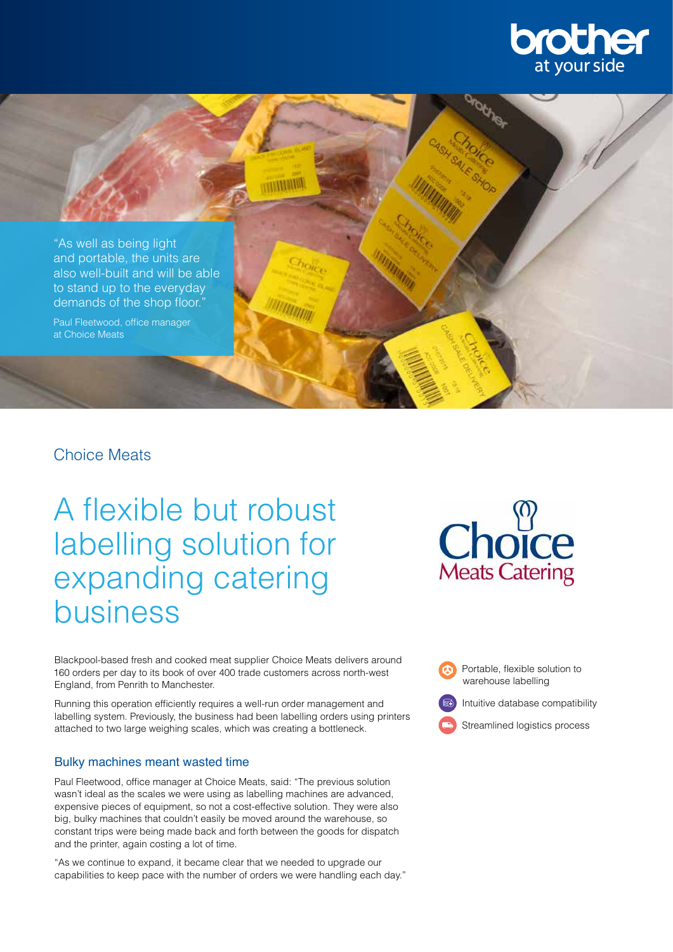



## Choice Meats

A flexible but robust labelling solution for expanding catering business

Blackpool-based fresh and cooked meat supplier Choice Meats delivers around 160 orders per day to its book of over 400 trade customers across north-west England, from Penrith to Manchester.

Running this operation efficiently requires a well-run order management and labelling system. Previously, the business had been labelling orders using printers attached to two large weighing scales, which was creating a bottleneck.

## Bulky machines meant wasted time

Paul Fleetwood, office manager at Choice Meats, said: "The previous solution wasn't ideal as the scales we were using as labelling machines are advanced, expensive pieces of equipment, so not a cost-effective solution. They were also big, bulky machines that couldn't easily be moved around the warehouse, so constant trips were being made back and forth between the goods for dispatch and the printer, again costing a lot of time.

"As we continue to expand, it became clear that we needed to upgrade our capabilities to keep pace with the number of orders we were handling each day."



 Portable, flexible solution to warehouse labelling

Intuitive database compatibility